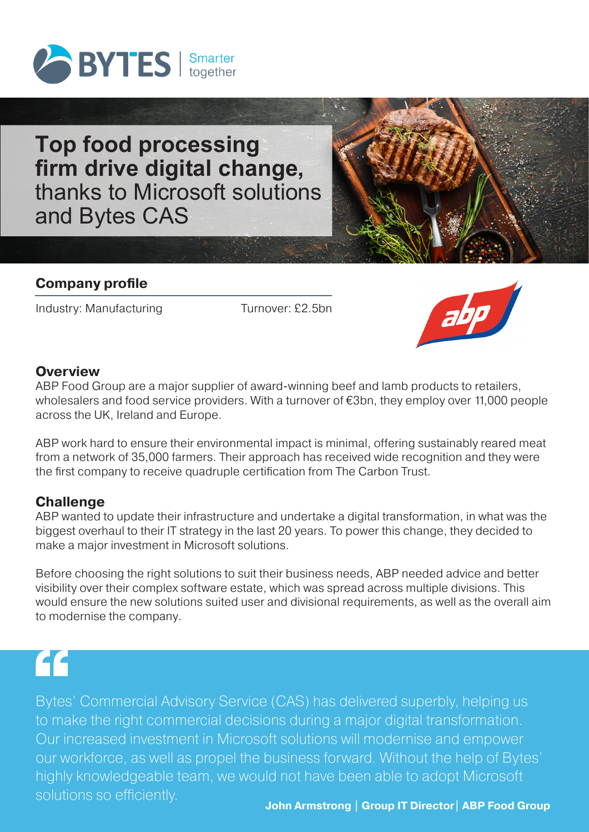

# **Top food processing firm drive digital change,**  thanks to Microsoft solutions and Bytes CAS



## **Company profile**

Industry: Manufacturing Turnover: £2.5bn



#### **Overview**

ABP Food Group are a major supplier of award-winning beef and lamb products to retailers, wholesalers and food service providers. With a turnover of €3bn, they employ over 11,000 people across the UK, Ireland and Europe.

ABP work hard to ensure their environmental impact is minimal, offering sustainably reared meat from a network of 35,000 farmers. Their approach has received wide recognition and they were the first company to receive quadruple certification from The Carbon Trust.

### **Challenge**

ABP wanted to update their infrastructure and undertake a digital transformation, in what was the biggest overhaul to their IT strategy in the last 20 years. To power this change, they decided to make a major investment in Microsoft solutions.

Before choosing the right solutions to suit their business needs, ABP needed advice and better visibility over their complex software estate, which was spread across multiple divisions. This would ensure the new solutions suited user and divisional requirements, as well as the overall aim to modernise the company.

**to fight**<br>Bytes' Commercial Advisory Service (CAS) has delivered superbly, helping us<br>to make the right commercial decisions during a major digital transformation. Bytes' Commercial Advisory Service (CAS) has delivered superbly, helping us Our increased investment in Microsoft solutions will modernise and empower our workforce, as well as propel the business forward. Without the help of Bytes' highly knowledgeable team, we would not have been able to adopt Microsoft solutions so efficiently. **John Armstrong | Group IT Director| ABP Food Group**